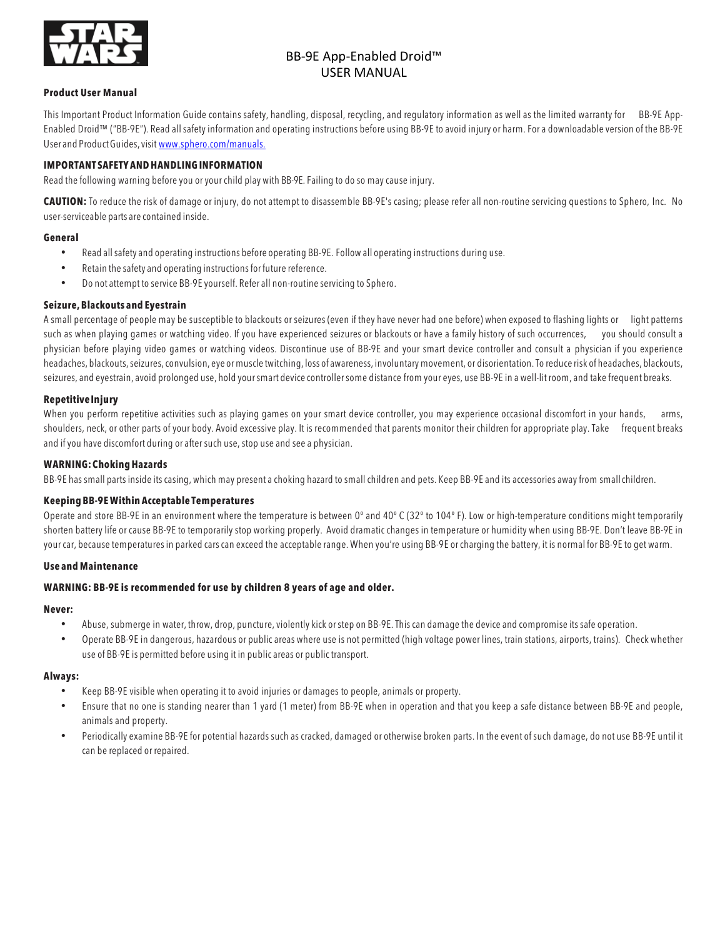

### **Product User Manual**

This Important Product Information Guide contains safety, handling, disposal, recycling, and regulatory information as well as the limited warranty for BB-9E App-Enabled Droid™ ("BB-9E"). Read all safety information and operating instructions before using BB-9E to avoid injury or harm.For a downloadable version of the BB-9E User and Product Guides, visit www.sphero.com/manuals.

### **IMPORTANT SAFETY AND HANDLING INFORMATION**

Read the following warning before you oryour child play with BB-9E.Failing to do so may cause injury.

**CAUTION:** To reduce the risk of damage or injury, do not attempt to disassemble BB-9E's casing; please refer all non-routine servicing questions to Sphero, Inc. No user-serviceable parts are contained inside.

#### **General**

- Read allsafety and operating instructions before operating BB-9E. Follow all operating instructions during use.
- Retain the safety and operating instructions for future reference.
- Do not attempt to service BB-9E yourself. Refer all non-routine servicing to Sphero.

### **Seizure, Blackouts and Eyestrain**

A small percentage of people may be susceptible to blackouts or seizures (even if they have never had one before) when exposed to flashing lights or light patterns such as when playing games or watching video. If you have experienced seizures or blackouts or have a family history of such occurrences, you should consult a physician before playing video games or watching videos. Discontinue use of BB-9E and your smart device controller and consult a physician if you experience headaches, blackouts,seizures,convulsion, eye or muscle twitching, loss of awareness, involuntary movement, or disorientation.To reduce risk of headaches, blackouts, seizures, and eyestrain, avoid prolonged use, hold yoursmart device controllersome distance from your eyes, use BB-9E in a well-lit room, and take frequent breaks.

### **RepetitiveInjury**

When you perform repetitive activities such as playing games on your smart device controller, you may experience occasional discomfort in your hands, arms, shoulders, neck, or other parts of your body. Avoid excessive play. It is recommended that parents monitor their children for appropriate play. Take frequent breaks and ifyou have discomfort during or after such use, stop use and see a physician.

### **WARNING:ChokingHazards**

BB-9E has small parts inside its casing, which may present a choking hazard to small children and pets. Keep BB-9E and its accessories awayfrom smallchildren.

### **Keeping BB-9EWithin Acceptable Temperatures**

Operate and store BB-9E in an environment where the temperature is between 0º and 40º C (32º to 104º F). Low or high-temperature conditions might temporarily shorten battery life or cause BB-9E to temporarily stop working properly. Avoid dramatic changes in temperature or humidity when using BB-9E. Don't leave BB-9E in your car, because temperatures in parked cars can exceed the acceptable range. When you're using BB-9E or charging the battery, it is normal for BB-9E to get warm.

#### **Use and Maintenance**

### **WARNING: BB-9E is recommended for use by children 8 years of age and older.**

#### **Never:**

- Abuse, submerge in water, throw, drop, puncture, violently kick or step on BB-9E. This can damage the device and compromise its safe operation.
- Operate BB-9E in dangerous, hazardous or public areas where use is not permitted (high voltage power lines, train stations, airports, trains). Check whether use of BB-9E is permitted before using it in public areas or public transport.

### **Always:**

- Keep BB-9E visible when operating it to avoid injuries or damages to people, animals or property.
- Ensure that no one is standing nearer than 1 yard (1 meter) from BB-9E when in operation and that you keep a safe distance between BB-9E and people, animals and property.
- Periodically examine BB-9E for potential hazards such as cracked, damaged or otherwise broken parts. In the event of such damage, do not use BB-9E until it can be replaced or repaired.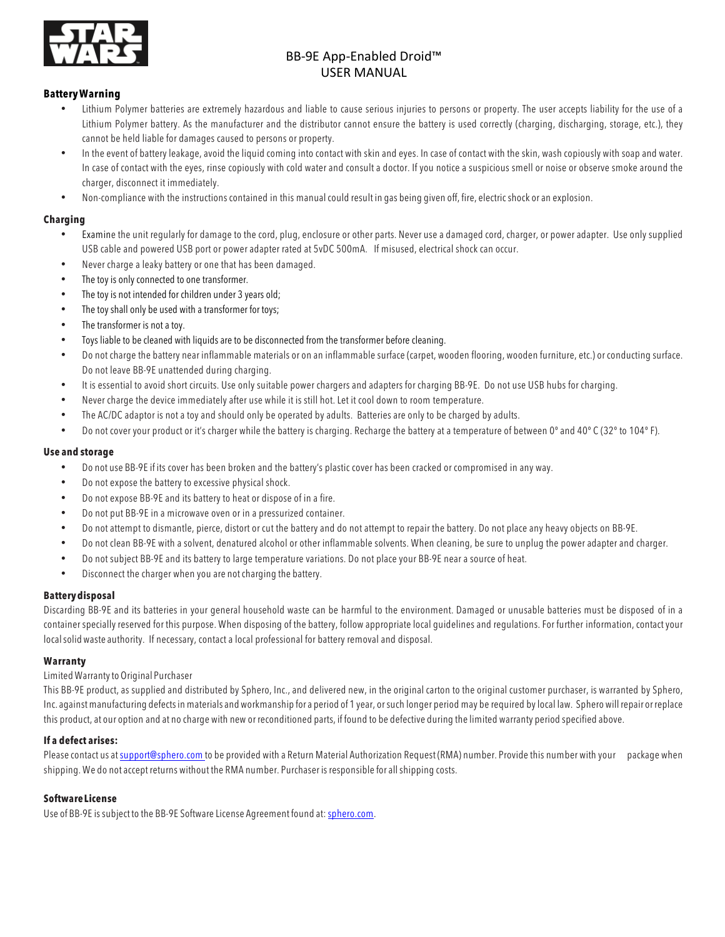

## **BatteryWarning**

- Lithium Polymer batteries are extremely hazardous and liable to cause serious injuries to persons or property. The user accepts liability for the use of a Lithium Polymer battery. As the manufacturer and the distributor cannot ensure the battery is used correctly (charging, discharging, storage, etc.), they cannot be held liable for damages caused to persons or property.
- In the event of battery leakage, avoid the liquid coming into contact with skin and eyes. In case of contact with the skin, wash copiously with soap and water. In case of contact with the eyes, rinse copiously with cold water and consult a doctor. If you notice a suspicious smell or noise or observe smoke around the charger, disconnect it immediately.
- Non-compliance with the instructions contained in this manual could result in gas being given off, fire, electric shock or an explosion.

## **Charging**

- Examine the unit regularly for damage to the cord, plug, enclosure or other parts. Never use a damaged cord, charger, or power adapter. Use only supplied USB cable and powered USB port or power adapter rated at 5vDC 500mA. If misused, electrical shock can occur.
- Never charge a leaky battery or one that has been damaged.
- The toy is only connected to one transformer.
- The toy is not intended for children under 3 years old;
- The toy shall only be used with a transformer for toys;
- The transformer is not a toy.
- Toys liable to be cleaned with liquids are to be disconnected from the transformer before cleaning.
- Do not charge the battery near inflammable materials or on an inflammable surface (carpet, wooden flooring, wooden furniture, etc.) or conducting surface. Do not leave BB-9E unattended during charging.
- It is essential to avoid short circuits. Use only suitable power chargers and adapters for charging BB-9E. Do not use USB hubs for charging.
- Never charge the device immediately after use while it is still hot. Let it cool down to room temperature.
- The AC/DC adaptor is not a toy and should only be operated by adults. Batteries are only to be charged by adults.
- Do not cover your product or it's charger while the battery is charging. Recharge the battery at a temperature of between 0° and 40° C (32° to 104° F).

### **Use and storage**

- Do not use BB-9E if its cover has been broken and the battery's plastic cover has been cracked or compromised in any way.
- Do not expose the battery to excessive physical shock.
- Do not expose BB-9E and its battery to heat or dispose of in a fire.
- Do not put BB-9E in a microwave oven or in a pressurized container.
- Do not attempt to dismantle, pierce, distort or cut the battery and do not attempt to repair the battery. Do not place any heavy objects on BB-9E.
- Do not clean BB-9E with a solvent, denatured alcohol or other inflammable solvents. When cleaning, be sure to unplug the power adapter and charger.
- Do not subject BB-9E and its battery to large temperature variations. Do not place your BB-9E near a source of heat.
- Disconnect the charger when you are notcharging the battery.

## **Batterydisposal**

Discarding BB-9E and its batteries in your general household waste can be harmful to the environment. Damaged or unusable batteries must be disposed of in a container specially reserved for this purpose. When disposing of the battery, follow appropriate local guidelines and regulations.For further information, contactyour localsolid waste authority. If necessary, contact a local professional for battery removal and disposal.

## **Warranty**

## Limited Warrantyto Original Purchaser

This BB-9E product, as supplied and distributed by Sphero, Inc., and delivered new, in the original carton to the original customer purchaser, is warranted by Sphero, Inc. against manufacturing defectsin materials and workmanship for a period of 1 year, or such longer period may be required by local law. Sphero will repair or replace this product, at our option and at no charge with new or reconditioned parts, if found to be defective during the limited warranty period specified above.

## **If a defect arises:**

Please contact us at support@sphero.com to be provided with a Return Material Authorization Request (RMA) number. Provide this number with your package when shipping. We do not accept returns without the RMA number. Purchaser is responsible for allshipping costs.

## **SoftwareLicense**

Use of BB-9E is subject to the BB-9E Software License Agreement found at: sphero.com.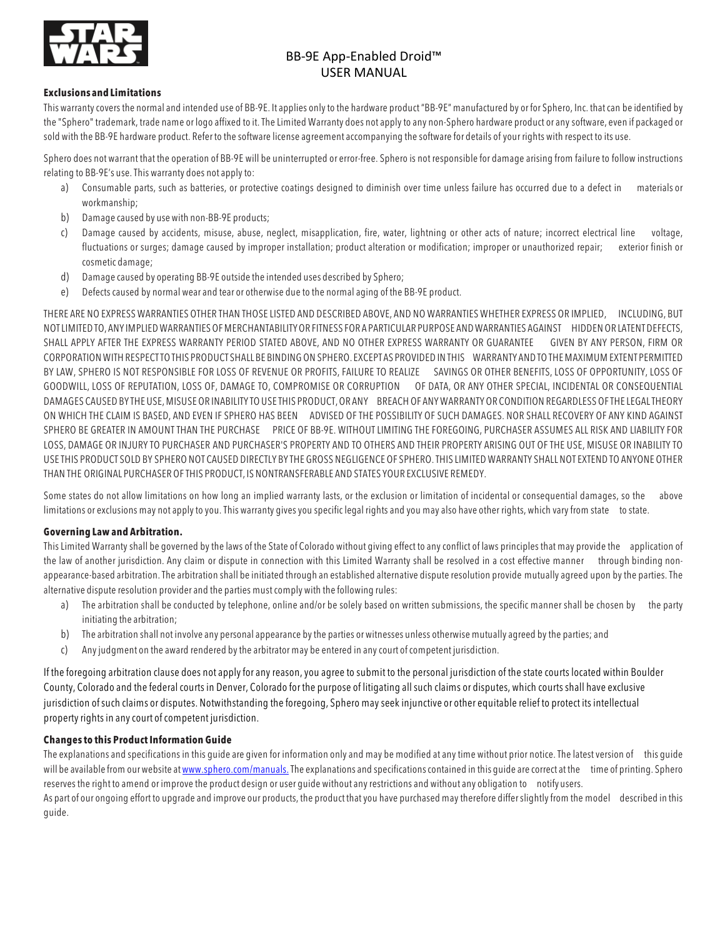

### **Exclusions and Limitations**

This warrantycovers the normal and intended use of BB-9E. It applies onlyto the hardware product "BB-9E" manufactured by or for Sphero, Inc. thatcan be identified by the "Sphero" trademark, trade name or logo affixed to it.The Limited Warranty does not applyto any non-Sphero hardware product or any software, even if packaged or sold with the BB-9E hardware product. Refer to the software license agreement accompanying the software for details of your rights with respect to its use.

Sphero does not warrant that the operation of BB-9E will be uninterrupted or error-free. Sphero is not responsible for damage arising from failure to follow instructions relating to BB-9E's use. This warranty does not applyto:

- a) Consumable parts, such as batteries, or protective coatings designed to diminish over time unless failure has occurred due to a defect in materials or workmanship;
- b) Damage caused by use with non-BB-9E products;
- c) Damage caused by accidents, misuse, abuse, neglect, misapplication, fire, water, lightning or other acts of nature; incorrect electrical line voltage, fluctuations or surges; damage caused by improper installation; product alteration or modification; improper or unauthorized repair; exterior finish or cosmetic damage;
- d) Damage caused by operating BB-9E outside the intended uses described by Sphero;
- e) Defects caused by normal wear and tear or otherwise due to the normal aging of the BB-9E product.

THERE ARE NO EXPRESS WARRANTIES OTHER THAN THOSE LISTED AND DESCRIBED ABOVE, AND NO WARRANTIES WHETHER EXPRESS OR IMPLIED, INCLUDING, BUT NOTLIMITED TO, ANY IMPLIED WARRANTIES OF MERCHANTABILITYOR FITNESS FOR A PARTICULAR PURPOSE AND WARRANTIES AGAINST HIDDEN OR LATENT DEFECTS, SHALL APPLY AFTER THE EXPRESS WARRANTY PERIOD STATED ABOVE, AND NO OTHER EXPRESS WARRANTY OR GUARANTEE GIVEN BY ANY PERSON, FIRM OR CORPORATION WITH RESPECTTO THIS PRODUCT SHALL BE BINDING ON SPHERO. EXCEPT AS PROVIDED IN THIS WARRANTY AND TO THEMAXIMUM EXTENT PERMITTED BY LAW, SPHERO IS NOT RESPONSIBLE FOR LOSS OF REVENUE OR PROFITS, FAILURE TO REALIZE SAVINGS OR OTHER BENEFITS, LOSS OF OPPORTUNITY, LOSS OF GOODWILL, LOSS OF REPUTATION, LOSS OF, DAMAGE TO, COMPROMISE OR CORRUPTION OF DATA, OR ANY OTHER SPECIAL, INCIDENTAL OR CONSEQUENTIAL DAMAGES CAUSED BY THE USE,MISUSE OR INABILITY TO USE THIS PRODUCT,OR ANY BREACH OF ANY WARRANTY OR CONDITION REGARDLESS OFTHE LEGALTHEORY ON WHICH THE CLAIM IS BASED, AND EVEN IF SPHERO HAS BEEN ADVISED OF THE POSSIBILITY OF SUCH DAMAGES. NOR SHALL RECOVERY OF ANY KIND AGAINST SPHERO BE GREATER IN AMOUNT THAN THE PURCHASE PRICE OF BB-9E. WITHOUT LIMITING THE FOREGOING, PURCHASER ASSUMES ALL RISK AND LIABILITY FOR LOSS, DAMAGE OR INJURY TO PURCHASER AND PURCHASER'S PROPERTY AND TO OTHERS AND THEIR PROPERTY ARISING OUT OF THE USE, MISUSE OR INABILITY TO USE THIS PRODUCT SOLD BY SPHERO NOT CAUSED DIRECTLY BY THE GROSS NEGLIGENCE OF SPHERO.THIS LIMITED WARRANTY SHALL NOT EXTEND TO ANYONE OTHER THAN THE ORIGINAL PURCHASER OFTHIS PRODUCT, IS NONTRANSFERABLE AND STATES YOUR EXCLUSIVE REMEDY.

Some states do not allow limitations on how long an implied warranty lasts, or the exclusion or limitation of incidental or consequential damages, so the above limitations or exclusions may not apply to you. This warranty gives you specific legal rights and you may also have other rights, which vary from state to state.

## **Governing Law and Arbitration.**

This Limited Warranty shall be governed by the laws of the State of Colorado without giving effect to any conflict of laws principles that may provide the application of the law of another jurisdiction. Any claim or dispute in connection with this Limited Warranty shall be resolved in a cost effective manner through binding nonappearance-based arbitration.The arbitration shall be initiated through an established alternative dispute resolution provide mutually agreed upon by the parties. The alternative dispute resolution provider and the parties must comply with the following rules:

- a) The arbitration shall be conducted by telephone, online and/or be solely based on written submissions, the specific manner shall be chosen by the party initiating the arbitration;
- b) The arbitration shall not involve any personal appearance bythe parties or witnesses unless otherwise mutually agreed bythe parties; and
- c) Anyjudgment on the award rendered bythe arbitrator may be entered in anycourt of competent jurisdiction.

If the foregoing arbitration clause does not applyfor any reason,you agree to submit to the personal jurisdiction of the state courts located within Boulder County, Colorado and the federalcourts in Denver, Colorado for the purpose of litigating allsuch claims or disputes, which courts shall have exclusive jurisdiction ofsuch claims or disputes. Notwithstanding the foregoing, Sphero mayseek injunctive or other equitable relief to protect its intellectual property rights in any court of competent jurisdiction.

## **Changes to this Product Information Guide**

The explanations and specifications in this guide are given for information only and may be modified at any time without prior notice. The latestversion of this guide will be available from our website at www.sphero.com/manuals. The explanations and specifications contained in this quide are correct at the time of printing. Sphero reserves the right to amend or improve the product design or user guide without anyrestrictions and without any obligation to notify users.

As part of our ongoing effort to upgrade and improve our products, the product that you have purchased may therefore differ slightly from the model described in this guide.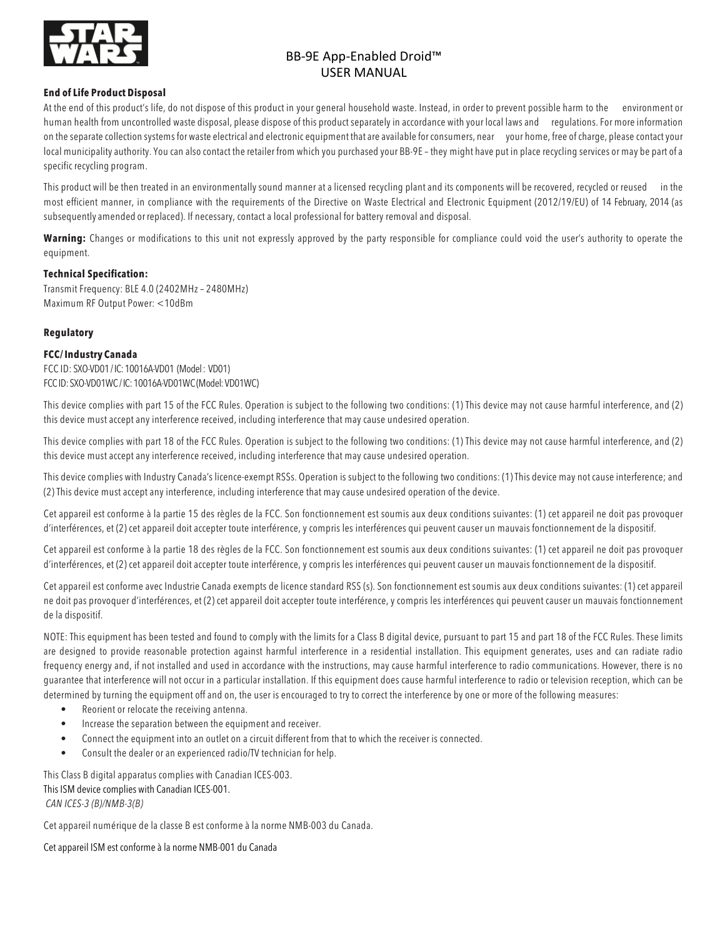

### **End of Life Product Disposal**

At the end of this product's life, do not dispose of this product in your general household waste. Instead, in order to prevent possible harm to the environment or human health from uncontrolled waste disposal, please dispose of this product separately in accordance with your local laws and regulations. For more information on the separate collection systems for waste electrical and electronic equipment that are available for consumers, near your home, free of charge, please contactyour local municipality authority. You can also contact the retailer from which you purchased your BB-9E - they might have put in place recycling services or may be part of a specific recycling program.

This product will be then treated in an environmentally sound manner at a licensed recycling plant and its components will be recovered, recycled or reused in the most efficient manner, in compliance with the requirements of the Directive on Waste Electrical and Electronic Equipment (2012/19/EU) of 14 February, 2014 (as subsequently amended or replaced). If necessary, contact a local professional for battery removal and disposal.

**Warning:** Changes or modifications to this unit not expressly approved by the party responsible for compliance could void the user's authority to operate the equipment.

### **Technical Specification:**

Transmit Frequency: BLE 4.0 (2402MHz – 2480MHz) Maximum RF Output Power: <10dBm

### **Regulatory**

### **FCC/Industry Canada**

FCC ID: SXO-VD01/ IC: 10016A-VD01 (Model : VD01) FCC ID: SXO-VD01WC / IC: 10016A-VD01WC (Model: VD01WC)

This device complies with part 15 of the FCC Rules. Operation is subject to the following two conditions: (1) This device may not cause harmful interference, and (2) this device must accept any interference received, including interference that may cause undesired operation.

This device complies with part 18 of the FCC Rules. Operation is subject to the following two conditions: (1) This device may not cause harmful interference, and (2) this device must accept any interference received, including interference that may cause undesired operation.

This device complies with Industry Canada's licence-exempt RSSs. Operation is subject to the following two conditions: (1) This device may not cause interference; and (2) This device must accept any interference, including interference that may cause undesired operation of the device.

Cet appareil est conforme à la partie 15 des règles de la FCC. Son fonctionnement est soumis aux deux conditions suivantes: (1) cet appareil ne doit pas provoquer d'interférences, et (2) cet appareil doit accepter toute interférence, y compris les interférences qui peuvent causer un mauvais fonctionnement de la dispositif.

Cet appareil est conforme à la partie 18 des règles de la FCC. Son fonctionnement est soumis aux deux conditions suivantes: (1) cet appareil ne doit pas provoquer d'interférences, et (2) cet appareil doit accepter toute interférence, y compris les interférences qui peuvent causer un mauvais fonctionnement de la dispositif.

Cet appareil est conforme avec Industrie Canada exempts de licence standard RSS (s). Son fonctionnement est soumis aux deux conditions suivantes: (1) cet appareil ne doit pas provoquer d'interférences, et (2) cet appareil doit accepter toute interférence, y compris les interférences qui peuvent causer un mauvais fonctionnement de la dispositif.

NOTE: This equipment has been tested and found to comply with the limits for a Class B digital device, pursuant to part 15 and part 18 of the FCC Rules. These limits are designed to provide reasonable protection against harmful interference in a residential installation. This equipment generates, uses and can radiate radio frequency energy and, if not installed and used in accordance with the instructions, may cause harmful interference to radio communications. However, there is no guarantee that interference will not occur in a particular installation. If this equipment does cause harmful interference to radio or television reception, which can be determined by turning the equipment off and on, the user is encouraged to try to correct the interference by one or more of the following measures:

- Reorient or relocate the receiving antenna.
- Increase the separation between the equipment and receiver.
- Connect the equipment into an outlet on a circuit different from that to which the receiver is connected.
- Consult the dealer or an experienced radio/TV technician for help.

This Class B digital apparatus complies with Canadian ICES-003. This ISM device complies with Canadian ICES-001. *CAN ICES-3 (B)/NMB-3(B)* 

Cet appareil numérique de la classe B est conforme à la norme NMB-003 du Canada.

Cet appareil ISM est conforme à la norme NMB-001 du Canada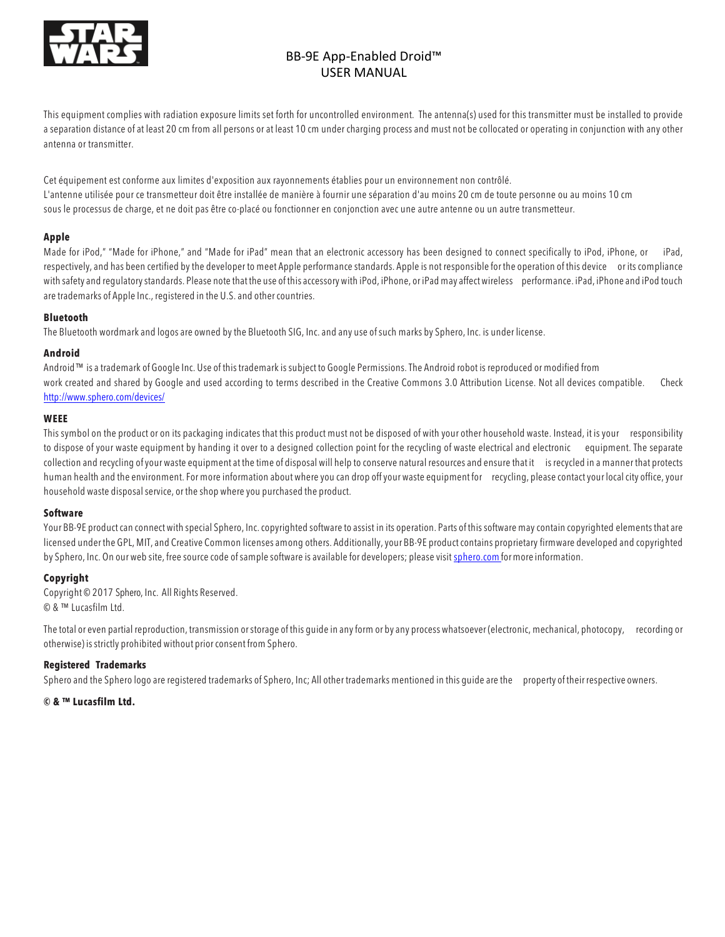

This equipment complies with radiation exposure limits set forth for uncontrolled environment. The antenna(s) used for this transmitter must be installed to provide a separation distance of at least 20 cm from all persons or at least 10 cm under charging process and must not be collocated or operating in conjunction with any other antenna or transmitter.

Cet équipement est conforme aux limites d'exposition aux rayonnements établies pour un environnement non contrôlé. L'antenne utilisée pour ce transmetteur doit être installée de manière à fournir une séparation d'au moins 20 cm de toute personne ou au moins 10 cm sous le processus de charge, et ne doit pas être co-placé ou fonctionner en conjonction avec une autre antenne ou un autre transmetteur.

### **Apple**

Made for iPod," "Made for iPhone," and "Made for iPad" mean that an electronic accessory has been designed to connect specifically to iPod, iPhone, or iPad, respectively, and has been certified bythe developer to meet Apple performance standards. Apple is not responsible for the operation of this device or its compliance with safety and regulatorystandards. Please note that the use of this accessory with iPod, iPhone, or iPad may affect wireless performance. iPad, iPhone and iPod touch are trademarks of Apple Inc., registered in the U.S. and other countries.

### **Bluetooth**

The Bluetooth wordmark and logos are owned bythe Bluetooth SIG, Inc. and any use of such marks by Sphero, Inc. is under license.

### **Android**

Android™ is a trademark of Google Inc. Use of this trademark is subject to Google Permissions.The Android robot is reproduced or modified from work created and shared by Google and used according to terms described in the Creative Commons 3.0 Attribution License. Not all devices compatible. Check http://www.sphero.com/devices/

### **WEEE**

This symbol on the product or on its packaging indicates that this product must not be disposed of with your other household waste. Instead, it is your responsibility to dispose of your waste equipment by handing it over to a designed collection point for the recycling of waste electrical and electronic equipment. The separate collection and recycling of your waste equipment at the time of disposal will help to conserve natural resources and ensure that it is recycled in a manner that protects human health and the environment. For more information about where you can drop offyour waste equipment for recycling, please contact your local city office, your household waste disposal service, or the shop where you purchased the product.

### **Software**

Your BB-9E product can connect with special Sphero, Inc. copyrighted software to assist in its operation. Parts of this software may contain copyrighted elements that are licensed under the GPL, MIT, and Creative Common licenses among others. Additionally, your BB-9E product contains proprietary firmware developed and copyrighted by Sphero, Inc. On our web site, free source code of sample software is available for developers; please visit sphero.com for more information.

### **Copyright**

Copyright © 2017 Sphero, Inc. All Rights Reserved. © & ™ Lucasfilm Ltd.

The total or even partial reproduction, transmission orstorage of this guide in anyform or by any process whatsoever (electronic, mechanical, photocopy, recording or otherwise) is strictly prohibited without prior consent from Sphero.

### **Registered Trademarks**

Sphero and the Sphero logo are registered trademarks of Sphero, Inc; All other trademarks mentioned in this guide are the property of their respective owners.

**© & ™ Lucasfilm Ltd.**